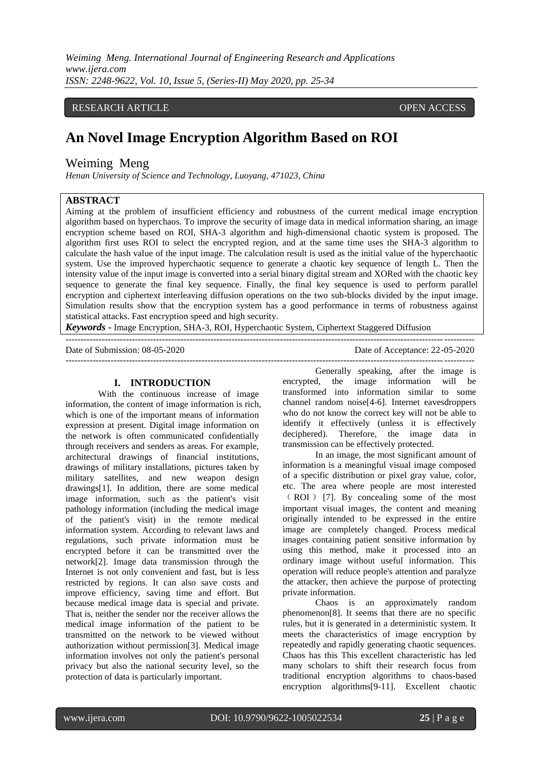## RESEARCH ARTICLE **CONSERVERS** OPEN ACCESS

# **An Novel Image Encryption Algorithm Based on ROI**

# Weiming Meng

*Henan University of Science and Technology, Luoyang, 471023, China*

# **ABSTRACT**

Aiming at the problem of insufficient efficiency and robustness of the current medical image encryption algorithm based on hyperchaos. To improve the security of image data in medical information sharing, an image encryption scheme based on ROI, SHA-3 algorithm and high-dimensional chaotic system is proposed. The algorithm first uses ROI to select the encrypted region, and at the same time uses the SHA-3 algorithm to calculate the hash value of the input image. The calculation result is used as the initial value of the hyperchaotic system. Use the improved hyperchaotic sequence to generate a chaotic key sequence of length L. Then the intensity value of the input image is converted into a serial binary digital stream and XORed with the chaotic key sequence to generate the final key sequence. Finally, the final key sequence is used to perform parallel encryption and ciphertext interleaving diffusion operations on the two sub-blocks divided by the input image. Simulation results show that the encryption system has a good performance in terms of robustness against statistical attacks. Fast encryption speed and high security.

---------------------------------------------------------------------------------------------------------------------------------------

*Keywords* **-** Image Encryption, SHA-3, ROI, Hyperchaotic System, Ciphertext Staggered Diffusion

Date of Submission: 08-05-2020 Date of Acceptance: 22-05-2020 ---------------------------------------------------------------------------------------------------------------------------------------

#### **I. INTRODUCTION**

With the continuous increase of image information, the content of image information is rich, which is one of the important means of information expression at present. Digital image information on the network is often communicated confidentially through receivers and senders as areas. For example, architectural drawings of financial institutions, drawings of military installations, pictures taken by military satellites, and new weapon design drawings[1]. In addition, there are some medical image information, such as the patient's visit pathology information (including the medical image of the patient's visit) in the remote medical information system. According to relevant laws and regulations, such private information must be encrypted before it can be transmitted over the network[2]. Image data transmission through the Internet is not only convenient and fast, but is less restricted by regions. It can also save costs and improve efficiency, saving time and effort. But because medical image data is special and private. That is, neither the sender nor the receiver allows the medical image information of the patient to be transmitted on the network to be viewed without authorization without permission[3]. Medical image information involves not only the patient's personal privacy but also the national security level, so the protection of data is particularly important.

Generally speaking, after the image is encrypted, the image information will be transformed into information similar to some channel random noise[4-6]. Internet eavesdroppers who do not know the correct key will not be able to identify it effectively (unless it is effectively deciphered). Therefore, the image data in transmission can be effectively protected.

In an image, the most significant amount of information is a meaningful visual image composed of a specific distribution or pixel gray value, color, etc. The area where people are most interested ( ROI ) [7]. By concealing some of the most important visual images, the content and meaning originally intended to be expressed in the entire image are completely changed. Process medical images containing patient sensitive information by using this method, make it processed into an ordinary image without useful information. This operation will reduce people's attention and paralyze the attacker, then achieve the purpose of protecting private information.

Chaos is an approximately random phenomenon[8]. It seems that there are no specific rules, but it is generated in a deterministic system. It meets the characteristics of image encryption by repeatedly and rapidly generating chaotic sequences. Chaos has this This excellent characteristic has led many scholars to shift their research focus from traditional encryption algorithms to chaos-based encryption algorithms[9-11]. Excellent chaotic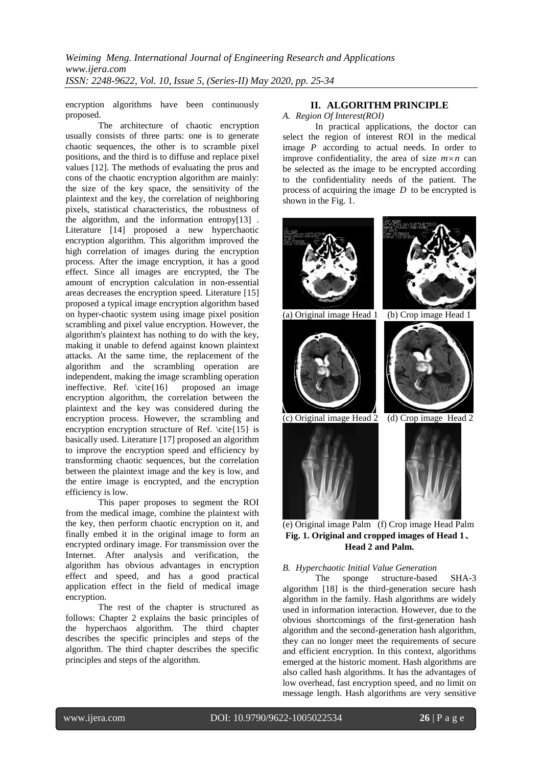encryption algorithms have been continuously proposed.

The architecture of chaotic encryption usually consists of three parts: one is to generate chaotic sequences, the other is to scramble pixel positions, and the third is to diffuse and replace pixel values [12]. The methods of evaluating the pros and cons of the chaotic encryption algorithm are mainly: the size of the key space, the sensitivity of the plaintext and the key, the correlation of neighboring pixels, statistical characteristics, the robustness of the algorithm, and the information entropy[13] . Literature [14] proposed a new hyperchaotic encryption algorithm. This algorithm improved the high correlation of images during the encryption process. After the image encryption, it has a good effect. Since all images are encrypted, the The amount of encryption calculation in non-essential areas decreases the encryption speed. Literature [15] proposed a typical image encryption algorithm based on hyper-chaotic system using image pixel position scrambling and pixel value encryption. However, the algorithm's plaintext has nothing to do with the key, making it unable to defend against known plaintext attacks. At the same time, the replacement of the algorithm and the scrambling operation are independent, making the image scrambling operation ineffective. Ref. \cite{16} proposed an image encryption algorithm, the correlation between the plaintext and the key was considered during the encryption process. However, the scrambling and encryption encryption structure of Ref. \cite{15} is basically used. Literature [17] proposed an algorithm to improve the encryption speed and efficiency by transforming chaotic sequences, but the correlation between the plaintext image and the key is low, and the entire image is encrypted, and the encryption efficiency is low.

This paper proposes to segment the ROI from the medical image, combine the plaintext with the key, then perform chaotic encryption on it, and finally embed it in the original image to form an encrypted ordinary image. For transmission over the Internet. After analysis and verification, the algorithm has obvious advantages in encryption effect and speed, and has a good practical application effect in the field of medical image encryption.

The rest of the chapter is structured as follows: Chapter 2 explains the basic principles of the hyperchaos algorithm. The third chapter describes the specific principles and steps of the algorithm. The third chapter describes the specific principles and steps of the algorithm.

# **II. ALGORITHM PRINCIPLE**

#### *A. Region Of Interest(ROI)*

In practical applications, the doctor can select the region of interest ROI in the medical image *P* according to actual needs. In order to improve confidentiality, the area of size  $m \times n$  can be selected as the image to be encrypted according to the confidentiality needs of the patient. The process of acquiring the image *D* to be encrypted is shown in the Fig. 1.



(e) Original image Palm (f) Crop image Head Palm **Fig. 1. Original and cropped images of Head 1**、 **Head 2 and Palm.**

## *B. Hyperchaotic Initial Value Generation*

The sponge structure-based SHA-3 algorithm [18] is the third-generation secure hash algorithm in the family. Hash algorithms are widely used in information interaction. However, due to the obvious shortcomings of the first-generation hash algorithm and the second-generation hash algorithm, they can no longer meet the requirements of secure and efficient encryption. In this context, algorithms emerged at the historic moment. Hash algorithms are also called hash algorithms. It has the advantages of low overhead, fast encryption speed, and no limit on message length. Hash algorithms are very sensitive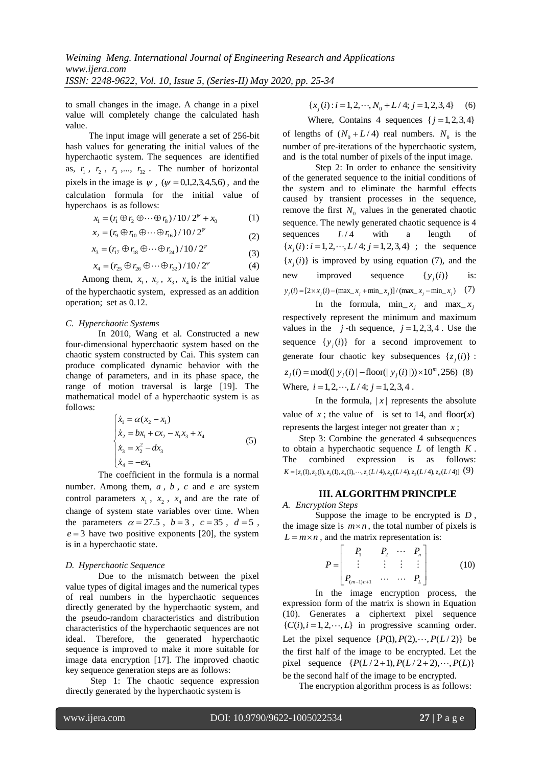to small changes in the image. A change in a pixel value will completely change the calculated hash value.

The input image will generate a set of 256-bit hash values for generating the initial values of the hyperchaotic system. The sequences are identified as,  $r_1$ ,  $r_2$ ,  $r_3$ ,...,  $r_{32}$ . The number of horizontal pixels in the image is  $\psi$ ,  $(\psi = 0,1,2,3,4,5,6)$ , and the calculation formula for the initial value of hyperchaos is as follows:

$$
x_1 = (r_1 \oplus r_2 \oplus \cdots \oplus r_8) / 10 / 2^{\nu} + x_0
$$
 (1)

$$
x_2 = (r_9 \oplus r_{10} \oplus \cdots \oplus r_{16})/10/2^{\nu}
$$
 (2)

$$
x_3 = (r_{17} \oplus r_{18} \oplus \cdots \oplus r_{24})/10/2^{\nu}
$$
 (3)

$$
x_4 = (r_{25} \oplus r_{26} \oplus \cdots \oplus r_{32})/10/2^{\nu}
$$
 (4)

Among them,  $x_1$ ,  $x_2$ ,  $x_3$ ,  $x_4$  is the initial value of the hyperchaotic system, expressed as an addition operation; set as 0.12.

#### *C. Hyperchaotic Systems*

In 2010, Wang et al. Constructed a new four-dimensional hyperchaotic system based on the chaotic system constructed by Cai. This system can produce complicated dynamic behavior with the change of parameters, and in its phase space, the range of motion traversal is large [19]. The mathematical model of a hyperchaotic system is as follows:

$$
\begin{cases}\n\dot{x}_1 = \alpha (x_2 - x_1) \\
\dot{x}_2 = bx_1 + cx_2 - x_1 x_3 + x_4 \\
\dot{x}_3 = x_2^2 - dx_3 \\
\dot{x}_4 = -e x_1\n\end{cases}
$$
\n(5)

The coefficient in the formula is a normal number. Among them, *a* , *b* , *c* and *e* are system control parameters  $x_1$ ,  $x_2$ ,  $x_4$  and are the rate of change of system state variables over time. When the parameters  $\alpha = 27.5$ ,  $b = 3$ ,  $c = 35$ ,  $d = 5$ ,  $e = 3$  have two positive exponents [20], the system is in a hyperchaotic state.

#### *D. Hyperchaotic Sequence*

Due to the mismatch between the pixel value types of digital images and the numerical types of real numbers in the hyperchaotic sequences directly generated by the hyperchaotic system, and the pseudo-random characteristics and distribution characteristics of the hyperchaotic sequences are not ideal. Therefore, the generated hyperchaotic sequence is improved to make it more suitable for image data encryption [17]. The improved chaotic key sequence generation steps are as follows:

Step 1: The chaotic sequence expression directly generated by the hyperchaotic system is

$$
\{x_j(i) : i = 1, 2, \cdots, N_0 + L/4; j = 1, 2, 3, 4\}
$$
 (6)

Where, Contains 4 sequences  $\{j = 1, 2, 3, 4\}$ 

of lengths of  $(N_0 + L/4)$  real numbers.  $N_0$  is the number of pre-iterations of the hyperchaotic system, and is the total number of pixels of the input image.

Step 2: In order to enhance the sensitivity of the generated sequence to the initial conditions of the system and to eliminate the harmful effects caused by transient processes in the sequence, remove the first  $N_0$  values in the generated chaotic sequence. The newly generated chaotic sequence is 4 sequences *L* /4 with a length of sequences  $L/4$  with a length of  $\{x_j(i): i = 1, 2, \cdots, L/4; j = 1, 2, 3, 4\}$ ; the sequence  ${x<sub>j</sub>(i)}$  is improved by using equation (7), and the new improved sequence  $\{y_j(i)\}\$ is:  $y_i(i) = [2 \times x_i(i) - (\max_x x_i + \min_x x_i)] / (\max_x x_i - \min_x x_i)$  (7)

In the formula,  $\min_{x_j} x_j$  and  $\max_{x_j} x_j$ respectively represent the minimum and maximum values in the  $j$ -th sequence,  $j = 1, 2, 3, 4$ . Use the sequence  $\{y_j(i)\}\$ for a second improvement to generate four chaotic key subsequences  $\{z_j(i)\}$ : generate four chaotic key subsequences  $\{z_j(i)\}\$ <br> $z_j(i) = \text{mod}((|y_j(i)| - \text{floor}(|y_j(i)|)) \times 10^m, 256)$  (8) Where,  $i = 1, 2, \dots, L/4$ ;  $j = 1, 2, 3, 4$ .

In the formula,  $|x|$  represents the absolute value of  $x$ ; the value of is set to 14, and floor( $x$ ) represents the largest integer not greater than *x* ;

Step 3: Combine the generated 4 subsequences to obtain a hyperchaotic sequence *L* of length *K* . The combined expression is as follows:<br>  $K = [z_1(1), z_2(1), z_3(1), z_4(1), \dots, z_1(L/4), z_2(L/4), z_3(L/4), z_4(L/4)]$  (9)  $K = [z_1(1), z_2(1), z_3(1), z_4(1), \cdots, z_1(L/4), z_2(L/4), z_3(L/4), z_4(L/4)]$  (9)

#### **III. ALGORITHM PRINCIPLE**

*A. Encryption Steps*

Suppose the image to be encrypted is *D* , the image size is  $m \times n$ , the total number of pixels is  $L = m \times n$ , and the matrix representation is:

$$
P = \begin{bmatrix} P_1 & P_2 & \cdots & P_n \\ \vdots & \vdots & \vdots & \vdots \\ P_{(m-1)n+1} & \cdots & \cdots & P_L \end{bmatrix}
$$
 (10)

In the image encryption process, the expression form of the matrix is shown in Equation (10). Generates a ciphertext pixel sequence  ${C(i), i = 1,2, \cdots, L}$  in progressive scanning order. Let the pixel sequence  $\{P(1), P(2), \dots, P(L/2)\}\)$  be the first half of the image to be encrypted. Let the the first half of the image to be encrypted. Let the pixel sequence  $\{P(L/2+1), P(L/2+2), \dots, P(L)\}$ be the second half of the image to be encrypted.

The encryption algorithm process is as follows: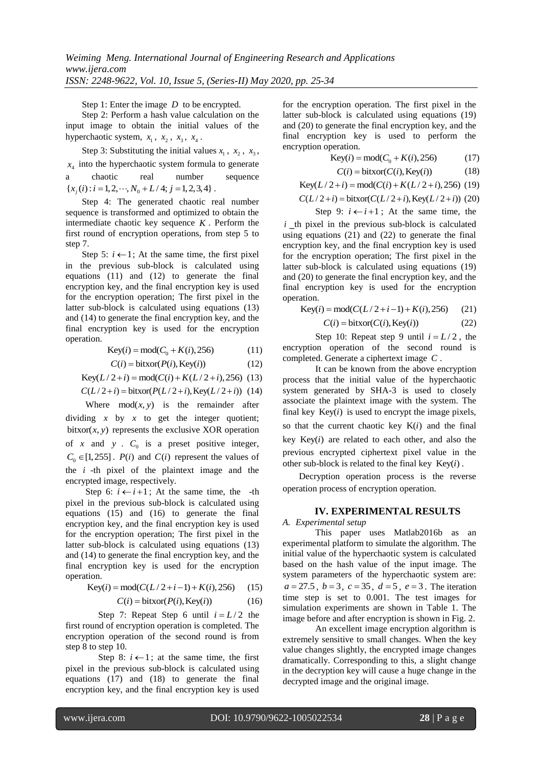Step 1: Enter the image *D* to be encrypted.

Step 2: Perform a hash value calculation on the input image to obtain the initial values of the hyperchaotic system,  $x_1$ ,  $x_2$ ,  $x_3$ ,  $x_4$ .

Step 3: Substituting the initial values  $x_1$ ,  $x_2$ ,  $x_3$ ,  $x_4$  into the hyperchaotic system formula to generate a chaotic real number sequence a chaotic real number<br>  ${x_j(i) : i = 1, 2, \cdots, N_0 + L/4; j = 1, 2, 3, 4}$ 

Step 4: The generated chaotic real number sequence is transformed and optimized to obtain the intermediate chaotic key sequence *K* . Perform the first round of encryption operations, from step 5 to step 7.

Step 5:  $i \leftarrow 1$ ; At the same time, the first pixel in the previous sub-block is calculated using equations (11) and (12) to generate the final encryption key, and the final encryption key is used for the encryption operation; The first pixel in the latter sub-block is calculated using equations (13) and (14) to generate the final encryption key, and the final encryption key is used for the encryption operation.

Key(*i*) = mod(
$$
C_0 + K(i)
$$
, 256) (11)

$$
C(i) = \text{bitxor}(P(i), \text{Key}(i))
$$
\n(12)

$$
C(i) = \text{bitxor}(P(i), \text{Key}(i)) \tag{12}
$$
  
Key(*L*/2+*i*) = mod(*C*(*i*) + *K*(*L*/2+*i*), 256) (13)

Key(
$$
L/2+i
$$
) = mod( $C(i) + K(L/2+i)$ , 256) (13)  
 $C(L/2+i)$  = bitxor( $P(L/2+i)$ , Key( $L/2+i$ )) (14)

Where  $mod(x, y)$  is the remainder after dividing  $x$  by  $x$  to get the integer quotient;  $bitxor(x, y)$  represents the exclusive XOR operation of  $x$  and  $y$ .  $C_0$  is a preset positive integer,  $C_0 \in [1, 255]$ .  $P(i)$  and  $C(i)$  represent the values of the *i* -th pixel of the plaintext image and the encrypted image, respectively.

Step 6:  $i \leftarrow i+1$ ; At the same time, the -th pixel in the previous sub-block is calculated using equations (15) and (16) to generate the final encryption key, and the final encryption key is used for the encryption operation; The first pixel in the latter sub-block is calculated using equations (13) and (14) to generate the final encryption key, and the final encryption key is used for the encryption operation.

tion.  
Key(*i*) = mod(
$$
C(L/2+i-1) + K(i),256
$$
) (15)

$$
C(i) = \text{bitxor}(P(i), \text{Key}(i))
$$
 (16)

Step 7: Repeat Step 6 until  $i = L/2$  the first round of encryption operation is completed. The encryption operation of the second round is from step 8 to step 10.

Step 8:  $i \leftarrow 1$ ; at the same time, the first pixel in the previous sub-block is calculated using equations (17) and (18) to generate the final encryption key, and the final encryption key is used

for the encryption operation. The first pixel in the latter sub-block is calculated using equations (19) and (20) to generate the final encryption key, and the final encryption key is used to perform the encryption operation.

$$
Key(i) = mod(C_0 + K(i), 256)
$$
 (17)

$$
C(i) = \text{bitxor}(C(i), \text{Key}(i))
$$
 (18)

$$
C(i) = \text{bitxor}(C(i), \text{Key}(i))
$$
(18)  
Key(*L*/2+*i*) = mod(*C*(*i*) + *K*(*L*/2+*i*),256) (19)

$$
Key(L/2+i) = mod(C(i) + K(L/2+i), 256) (19)
$$
  
C(L/2+i) = bitxor(C(L/2+i), Key(L/2+i)) (20)

Step 9:  $i \leftarrow i+1$ ; At the same time, the  $i$  th pixel in the previous sub-block is calculated using equations (21) and (22) to generate the final encryption key, and the final encryption key is used for the encryption operation; The first pixel in the latter sub-block is calculated using equations (19) and (20) to generate the final encryption key, and the final encryption key is used for the encryption operation.

ation.  
Key(*i*) = mod(
$$
C(L/2+i-1) + K(i),256
$$
) (21)

$$
C(i) = \text{bitxor}(C(i), \text{Key}(i))
$$
 (22)

Step 10: Repeat step 9 until  $i = L/2$ , the encryption operation of the second round is completed. Generate a ciphertext image *C* .

It can be known from the above encryption process that the initial value of the hyperchaotic system generated by SHA-3 is used to closely associate the plaintext image with the system. The final key  $Key(i)$  is used to encrypt the image pixels, so that the current chaotic key  $K(i)$  and the final key  $Key(i)$  are related to each other, and also the previous encrypted ciphertext pixel value in the other sub-block is related to the final key  $Key(i)$ .

Decryption operation process is the reverse operation process of encryption operation.

#### **IV. EXPERIMENTAL RESULTS**

### *A. Experimental setup*

This paper uses Matlab2016b as an experimental platform to simulate the algorithm. The initial value of the hyperchaotic system is calculated based on the hash value of the input image. The system parameters of the hyperchaotic system are:  $a = 27.5$ ,  $b = 3$ ,  $c = 35$ ,  $d = 5$ ,  $e = 3$ . The iteration time step is set to 0.001. The test images for simulation experiments are shown in Table 1. The image before and after encryption is shown in Fig. 2.

An excellent image encryption algorithm is extremely sensitive to small changes. When the key value changes slightly, the encrypted image changes dramatically. Corresponding to this, a slight change in the decryption key will cause a huge change in the decrypted image and the original image.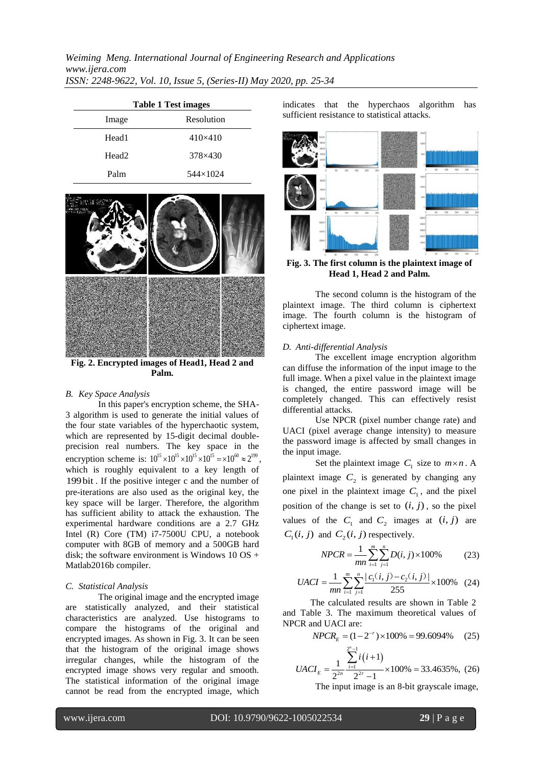| <b>Table 1 Test images</b> |                  |  |
|----------------------------|------------------|--|
| Image                      | Resolution       |  |
| Head1                      | $410\times 410$  |  |
| Head <sub>2</sub>          | $378 \times 430$ |  |
| Palm                       | 544×1024         |  |



**Fig. 2. Encrypted images of Head1, Head 2 and Palm.**

### *B. Key Space Analysis*

In this paper's encryption scheme, the SHA-3 algorithm is used to generate the initial values of the four state variables of the hyperchaotic system, which are represented by 15-digit decimal doubleprecision real numbers. The key space in the encryption scheme is:  $10^{15} \times 10^{15} \times 10^{15} \times 10^{16} \approx 2^{199}$ , which is roughly equivalent to a key length of 199bit . If the positive integer c and the number of pre-iterations are also used as the original key, the key space will be larger. Therefore, the algorithm has sufficient ability to attack the exhaustion. The experimental hardware conditions are a 2.7 GHz Intel (R) Core (TM) i7-7500U CPU, a notebook computer with 8GB of memory and a 500GB hard disk; the software environment is Windows  $10 \text{ OS } +$ Matlab2016b compiler.

#### *C. Statistical Analysis*

The original image and the encrypted image are statistically analyzed, and their statistical characteristics are analyzed. Use histograms to compare the histograms of the original and encrypted images. As shown in Fig. 3. It can be seen that the histogram of the original image shows irregular changes, while the histogram of the encrypted image shows very regular and smooth. The statistical information of the original image cannot be read from the encrypted image, which

indicates that the hyperchaos algorithm has sufficient resistance to statistical attacks.



**Fig. 3. The first column is the plaintext image of Head 1, Head 2 and Palm.** 

The second column is the histogram of the plaintext image. The third column is ciphertext image. The fourth column is the histogram of ciphertext image.

#### *D. Anti-differential Analysis*

The excellent image encryption algorithm can diffuse the information of the input image to the full image. When a pixel value in the plaintext image is changed, the entire password image will be completely changed. This can effectively resist differential attacks.

Use NPCR (pixel number change rate) and UACI (pixel average change intensity) to measure the password image is affected by small changes in the input image.

Set the plaintext image  $C_1$  size to  $m \times n$ . A plaintext image  $C_2$  is generated by changing any one pixel in the plaintext image  $C_1$ , and the pixel position of the change is set to  $(i, j)$ , so the pixel values of the  $C_1$  and  $C_2$  images at  $(i, j)$  are  $C_1(i, j)$  and  $C_2(i, j)$  respectively.

$$
NPCR = \frac{1}{mn} \sum_{i=1}^{m} \sum_{j=1}^{n} D(i, j) \times 100\% \tag{23}
$$

$$
mn \sum_{i=1}^{m} \sum_{j=1}^{n} |c_1(i, j) - c_2(i, j)| \times 100\% \quad (24)
$$

The calculated results are shown in Table 2 and Table 3. The maximum theoretical values of NPCR and UACI are:

and UAC1 are:  
\n
$$
NPCR_E = (1 - 2^{-r}) \times 100\% = 99.6094\% \quad (25)
$$

$$
UACI_E = \frac{1}{2^{2n}} \frac{\sum_{i=1}^{2^n - 1} i(i+1)}{2^{2r} - 1} \times 100\% = 33.4635\%, (26)
$$

The input image is an 8-bit grayscale image,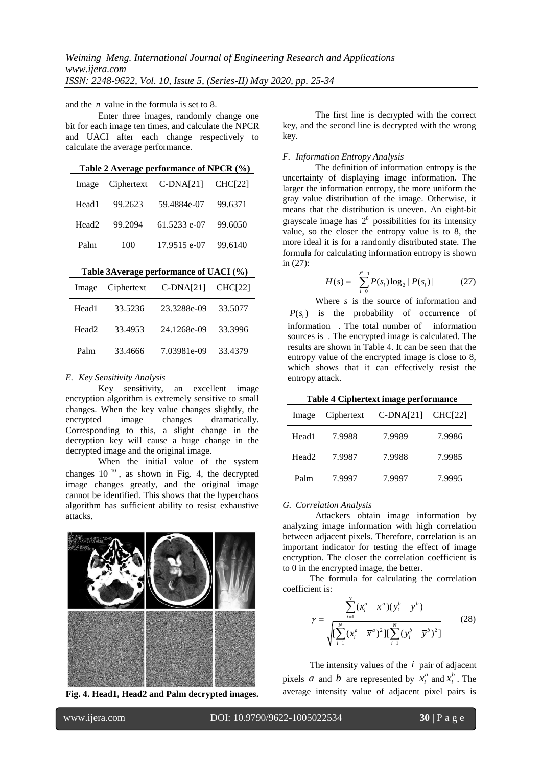and the *n* value in the formula is set to 8.

Enter three images, randomly change one bit for each image ten times, and calculate the NPCR and UACI after each change respectively to calculate the average performance.

**Table 2 Average performance of NPCR (%)**

| Image Ciphertext C-DNA[21] CHC[22] |         |              |         |
|------------------------------------|---------|--------------|---------|
| Head1                              | 99.2623 | 59.4884e-07  | 99.6371 |
| Head <sub>2</sub>                  | 99.2094 | 61.5233 e-07 | 99.6050 |
| Palm                               | 100     | 17.9515 e-07 | 99.6140 |

| Image             | Ciphertext | $C-DNA[21]$ | CHC[22] |  |
|-------------------|------------|-------------|---------|--|
| Head1             | 33.5236    | 23.3288e-09 | 33.5077 |  |
| Head <sub>2</sub> | 33.4953    | 24.1268e-09 | 33.3996 |  |
| Palm              | 33.4666    | 7.03981e-09 | 33.4379 |  |

#### *E. Key Sensitivity Analysis*

Key sensitivity, an excellent image encryption algorithm is extremely sensitive to small changes. When the key value changes slightly, the encrypted image changes dramatically. encrypted image changes dramatically. Corresponding to this, a slight change in the decryption key will cause a huge change in the decrypted image and the original image.

When the initial value of the system changes  $10^{-10}$ , as shown in Fig. 4, the decrypted image changes greatly, and the original image cannot be identified. This shows that the hyperchaos algorithm has sufficient ability to resist exhaustive attacks.



**Fig. 4. Head1, Head2 and Palm decrypted images.**

The first line is decrypted with the correct key, and the second line is decrypted with the wrong key.

## *F. Information Entropy Analysis*

The definition of information entropy is the uncertainty of displaying image information. The larger the information entropy, the more uniform the gray value distribution of the image. Otherwise, it means that the distribution is uneven. An eight-bit grayscale image has  $2<sup>8</sup>$  possibilities for its intensity value, so the closer the entropy value is to 8, the more ideal it is for a randomly distributed state. The formula for calculating information entropy is shown in (27):

$$
H(s) = -\sum_{i=0}^{2^{n}-1} P(s_i) \log_2 |P(s_i)|
$$
 (27)

Where *s* is the source of information and  $P(s_i)$  is the probability of occurrence of information . The total number of information sources is . The encrypted image is calculated. The results are shown in Table 4. It can be seen that the entropy value of the encrypted image is close to 8, which shows that it can effectively resist the entropy attack.

**Table 4 Ciphertext image performance**

| Image             | Ciphertext | $C-DNA[21]$ | CHC[22] |
|-------------------|------------|-------------|---------|
| Head1             | 7.9988     | 7.9989      | 7.9986  |
| Head <sub>2</sub> | 7.9987     | 7.9988      | 7.9985  |
| Palm              | 7.9997     | 7.9997      | 7.9995  |

#### *G. Correlation Analysis*

Attackers obtain image information by analyzing image information with high correlation between adjacent pixels. Therefore, correlation is an important indicator for testing the effect of image encryption. The closer the correlation coefficient is to 0 in the encrypted image, the better.

The formula for calculating the correlation coefficient is:

$$
\gamma = \frac{\sum_{i=1}^{N} (x_i^a - \overline{x}^a)(y_i^b - \overline{y}^b)}{\sqrt{\sum_{i=1}^{N} (x_i^a - \overline{x}^a)^2 \prod_{i=1}^{N} (y_i^b - \overline{y}^b)^2}}
$$
(28)

The intensity values of the  $i$  pair of adjacent pixels *a* and *b* are represented by  $x_i^a$  and  $x_i^b$ . The average intensity value of adjacent pixel pairs is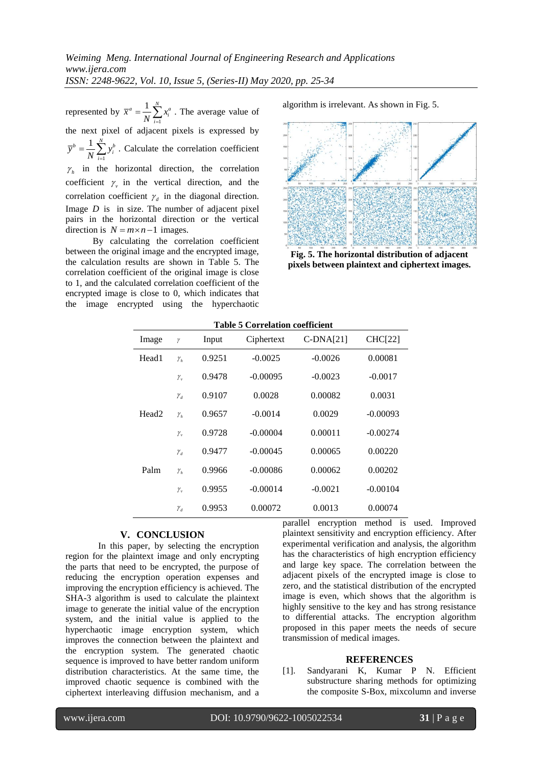represented by 1  $\sum_{i=1}^{a} x_i^a$  $\bar{x}^a = \frac{1}{N} \sum_{i=1}^N x_i^a$ . The average value of the next pixel of adjacent pixels is expressed by 1  $b^{b} = \frac{1}{N} \sum_{i=1}^{N} y_{i}^{b}$  $\overline{y}^b = \frac{1}{N} \sum_{i=1}^{N} y_i^b$ . Calculate the correlation coefficient  $\gamma_h$  in the horizontal direction, the correlation coefficient  $\gamma$ , in the vertical direction, and the correlation coefficient  $\gamma_d$  in the diagonal direction. Image *D* is in size. The number of adjacent pixel pairs in the horizontal direction or the vertical direction is  $N = m \times n - 1$  images.

By calculating the correlation coefficient between the original image and the encrypted image, the calculation results are shown in Table 5. The correlation coefficient of the original image is close to 1, and the calculated correlation coefficient of the encrypted image is close to 0, which indicates that the image encrypted using the hyperchaotic algorithm is irrelevant. As shown in Fig. 5.



**Fig. 5. The horizontal distribution of adjacent pixels between plaintext and ciphertext images.**

| <b>Table 5 Correlation coefficient</b> |              |        |            |             |                |
|----------------------------------------|--------------|--------|------------|-------------|----------------|
| Image                                  | γ            | Input  | Ciphertext | $C-DNA[21]$ | <b>CHC[22]</b> |
| Head1                                  | $\gamma_{h}$ | 0.9251 | $-0.0025$  | $-0.0026$   | 0.00081        |
|                                        | $\gamma_{v}$ | 0.9478 | $-0.00095$ | $-0.0023$   | $-0.0017$      |
|                                        | $\gamma_d$   | 0.9107 | 0.0028     | 0.00082     | 0.0031         |
| Head <sub>2</sub>                      | $\gamma_{h}$ | 0.9657 | $-0.0014$  | 0.0029      | $-0.00093$     |
|                                        | $\gamma_{v}$ | 0.9728 | $-0.00004$ | 0.00011     | $-0.00274$     |
|                                        | $\gamma_d$   | 0.9477 | $-0.00045$ | 0.00065     | 0.00220        |
| Palm                                   | $\gamma_{h}$ | 0.9966 | $-0.00086$ | 0.00062     | 0.00202        |
|                                        | $\gamma_{v}$ | 0.9955 | $-0.00014$ | $-0.0021$   | $-0.00104$     |
|                                        | $\gamma_d$   | 0.9953 | 0.00072    | 0.0013      | 0.00074        |

#### **V. CONCLUSION**

In this paper, by selecting the encryption region for the plaintext image and only encrypting the parts that need to be encrypted, the purpose of reducing the encryption operation expenses and improving the encryption efficiency is achieved. The SHA-3 algorithm is used to calculate the plaintext image to generate the initial value of the encryption system, and the initial value is applied to the hyperchaotic image encryption system, which improves the connection between the plaintext and the encryption system. The generated chaotic sequence is improved to have better random uniform distribution characteristics. At the same time, the improved chaotic sequence is combined with the ciphertext interleaving diffusion mechanism, and a parallel encryption method is used. Improved plaintext sensitivity and encryption efficiency. After experimental verification and analysis, the algorithm has the characteristics of high encryption efficiency and large key space. The correlation between the adjacent pixels of the encrypted image is close to zero, and the statistical distribution of the encrypted image is even, which shows that the algorithm is highly sensitive to the key and has strong resistance to differential attacks. The encryption algorithm proposed in this paper meets the needs of secure transmission of medical images.

#### **REFERENCES**

[1]. Sandyarani K, Kumar P N. Efficient substructure sharing methods for optimizing the composite S-Box, mixcolumn and inverse